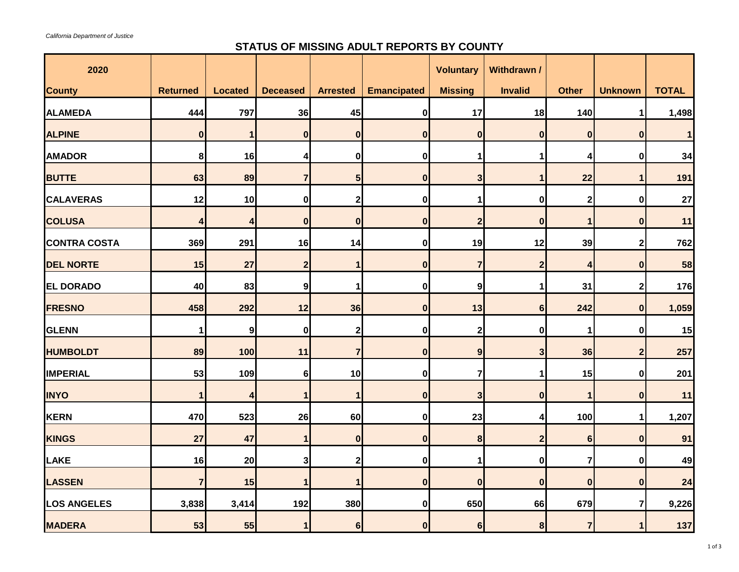## **STATUS OF MISSING ADULT REPORTS BY COUNTY**

| 2020                |                 |                |                  |                  |                    | <b>Voluntary</b> | Withdrawn /      |                  |                  |              |
|---------------------|-----------------|----------------|------------------|------------------|--------------------|------------------|------------------|------------------|------------------|--------------|
| <b>County</b>       | <b>Returned</b> | <b>Located</b> | <b>Deceased</b>  | <b>Arrested</b>  | <b>Emancipated</b> | <b>Missing</b>   | <b>Invalid</b>   | <b>Other</b>     | <b>Unknown</b>   | <b>TOTAL</b> |
| <b>ALAMEDA</b>      | 444             | 797            | 36               | 45               | $\bf{0}$           | 17               | 18               | 140              | 1                | 1,498        |
| <b>ALPINE</b>       | 0               |                | 0                | 0                | 0                  | $\boldsymbol{0}$ | $\bf{0}$         | $\boldsymbol{0}$ | $\boldsymbol{0}$ |              |
| <b>AMADOR</b>       | 8 <sup>1</sup>  | 16             | 4                | 0                | $\bf{0}$           |                  |                  | Δ                | $\boldsymbol{0}$ | 34           |
| <b>BUTTE</b>        | 63              | 89             |                  | 5 <sub>l</sub>   | $\bf{0}$           | 3                |                  | 22               |                  | 191          |
| <b>CALAVERAS</b>    | 12              | 10             | 0                | $\boldsymbol{2}$ | $\bf{0}$           |                  | 0                | $\mathbf{2}$     | $\boldsymbol{0}$ | 27           |
| <b>COLUSA</b>       | 4               |                | 0                | 0                | $\bf{0}$           | $\overline{2}$   | 0                |                  | $\boldsymbol{0}$ | 11           |
| <b>CONTRA COSTA</b> | 369             | 291            | 16               | 14               | $\bf{0}$           | 19               | 12               | 39               | $\boldsymbol{2}$ | 762          |
| <b>DEL NORTE</b>    | 15              | 27             | $\boldsymbol{2}$ |                  | $\bf{0}$           | $\overline{7}$   |                  | 4                | $\boldsymbol{0}$ | 58           |
| <b>EL DORADO</b>    | 40              | 83             | 9                |                  | $\mathbf 0$        | 9                |                  | 31               | $\boldsymbol{2}$ | 176          |
| <b>FRESNO</b>       | 458             | 292            | 12               | 36               | $\bf{0}$           | 13               | 6                | 242              | $\boldsymbol{0}$ | 1,059        |
| <b>GLENN</b>        | 1               | 9 <sub>l</sub> | 0                | 2                | $\bf{0}$           | $\mathbf 2$      | 0                | 1                | $\boldsymbol{0}$ | 15           |
| <b>HUMBOLDT</b>     | 89              | 100            | 11               | $\overline{7}$   | $\bf{0}$           | 9                | 3                | 36               | $\boldsymbol{2}$ | 257          |
| <b>IMPERIAL</b>     | 53              | 109            | 6 <sup>1</sup>   | 10               | $\bf{0}$           | 7                |                  | 15               | $\boldsymbol{0}$ | 201          |
| <b>INYO</b>         | 1               | $\mathbf{4}$   |                  | $\blacksquare$   | $\mathbf{0}$       | 3 <sub>l</sub>   | $\mathbf{0}$     | $\mathbf 1$      | $\mathbf{0}$     | 11           |
| <b>KERN</b>         | 470             | 523            | 26               | 60               | 0                  | 23               |                  | 100              | 1                | 1,207        |
| <b>KINGS</b>        | 27              | 47             |                  | 0                | $\boldsymbol{0}$   | $\boldsymbol{8}$ | $\boldsymbol{2}$ | $6\phantom{1}6$  | $\boldsymbol{0}$ | 91           |
| <b>LAKE</b>         | 16              | 20             | 3                | $\boldsymbol{2}$ | $\bf{0}$           |                  | 0                |                  | $\boldsymbol{0}$ | 49           |
| <b>LASSEN</b>       | $\overline{7}$  | 15             |                  |                  | $\boldsymbol{0}$   | $\boldsymbol{0}$ | $\boldsymbol{0}$ | $\boldsymbol{0}$ | $\boldsymbol{0}$ | 24           |
| <b>LOS ANGELES</b>  | 3,838           | 3,414          | 192              | 380              | $\boldsymbol{0}$   | 650              | 66               | 679              | $\overline{7}$   | 9,226        |
| <b>MADERA</b>       | 53              | 55             |                  | 6                | $\boldsymbol{0}$   | $6\phantom{1}6$  | 8                |                  | 1                | 137          |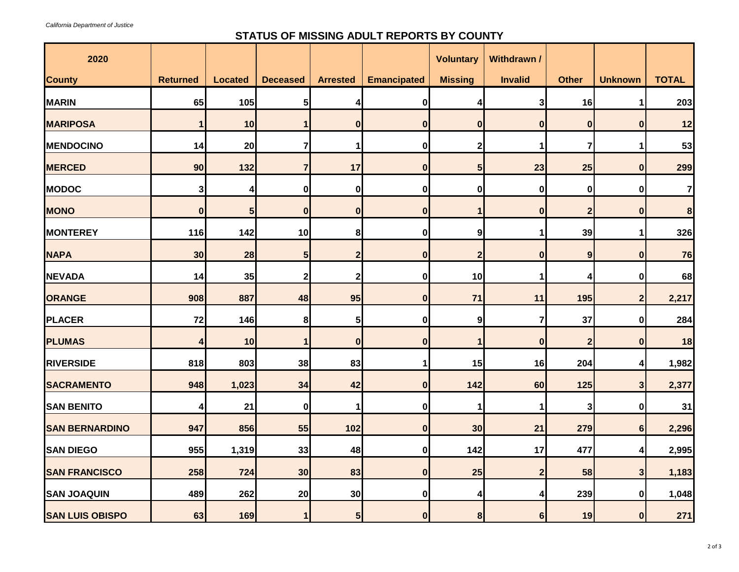## **STATUS OF MISSING ADULT REPORTS BY COUNTY**

| 2020                   |                 |                 |                  |                 |                    | <b>Voluntary</b> | Withdrawn /    |                  |                  |              |
|------------------------|-----------------|-----------------|------------------|-----------------|--------------------|------------------|----------------|------------------|------------------|--------------|
| <b>County</b>          | <b>Returned</b> | <b>Located</b>  | <b>Deceased</b>  | <b>Arrested</b> | <b>Emancipated</b> | <b>Missing</b>   | <b>Invalid</b> | <b>Other</b>     | <b>Unknown</b>   | <b>TOTAL</b> |
| <b>MARIN</b>           | 65              | 105             | 5 <sub>l</sub>   |                 | 0                  | 4                | 3              | 16               | 1                | 203          |
| <b>MARIPOSA</b>        |                 | 10              |                  | 0               | $\boldsymbol{0}$   | $\boldsymbol{0}$ | 0              | $\boldsymbol{0}$ | $\boldsymbol{0}$ | 12           |
| <b>MENDOCINO</b>       | 14              | 20              |                  |                 | 0                  | 2                |                |                  |                  | 53           |
| <b>MERCED</b>          | 90              | 132             | 7                | 17              | $\boldsymbol{0}$   | $5\overline{)}$  | 23             | 25               | $\boldsymbol{0}$ | 299          |
| <b>MODOC</b>           | 3 <sup>1</sup>  |                 | 0                | 0               | 0                  | $\boldsymbol{0}$ | 0              | $\boldsymbol{0}$ | 0                | 7            |
| <b>MONO</b>            | 0               | $5\overline{)}$ | $\boldsymbol{0}$ | 0               | $\bf{0}$           |                  | $\bf{0}$       | $\boldsymbol{2}$ | $\boldsymbol{0}$ | ${\bf 8}$    |
| <b>MONTEREY</b>        | 116             | 142             | 10               | 8 <sup>1</sup>  | 0                  | 9                |                | 39               |                  | 326          |
| <b>NAPA</b>            | 30              | 28              | 5 <sub>l</sub>   | 2               | $\bf{0}$           | $\mathbf{2}$     | $\bf{0}$       | 9                | $\bf{0}$         | 76           |
| <b>NEVADA</b>          | 14              | 35              | $\boldsymbol{2}$ | $\mathbf 2$     | 0                  | 10               |                |                  | 0                | 68           |
| <b>ORANGE</b>          | 908             | 887             | 48               | 95              | $\bf{0}$           | 71               | 11             | 195              | $\boldsymbol{2}$ | 2,217        |
| <b>PLACER</b>          | 72              | 146             | 8                | 5 <sub>l</sub>  | 0                  | 9                |                | 37               | $\boldsymbol{0}$ | 284          |
| <b>PLUMAS</b>          | Δ               | 10              |                  | $\mathbf{0}$    | $\bf{0}$           |                  | O              | $\overline{2}$   | $\boldsymbol{0}$ | 18           |
| <b>RIVERSIDE</b>       | 818             | 803             | 38               | 83              |                    | 15               | 16             | 204              | 4                | 1,982        |
| <b>SACRAMENTO</b>      | 948             | 1,023           | 34               | 42              | 0                  | $142$            | 60             | 125              | 3 <sup>1</sup>   | 2,377        |
| <b>SAN BENITO</b>      | 4               | 21              | 0                |                 | $\mathbf 0$        |                  |                | 3                | $\boldsymbol{0}$ | 31           |
| <b>SAN BERNARDINO</b>  | 947             | 856             | 55               | 102             | $\bf{0}$           | 30               | 21             | 279              | 6                | 2,296        |
| <b>SAN DIEGO</b>       | 955             | 1,319           | 33               | 48              | 0                  | 142              | 17             | 477              | 4                | 2,995        |
| <b>SAN FRANCISCO</b>   | 258             | 724             | 30               | 83              | $\bf{0}$           | 25               |                | 58               | $\mathbf{3}$     | 1,183        |
| <b>SAN JOAQUIN</b>     | 489             | 262             | 20               | 30              | 0                  | 4                |                | 239              | $\bf{0}$         | 1,048        |
| <b>SAN LUIS OBISPO</b> | 63              | 169             |                  | 5 <sub>5</sub>  | $\bf{0}$           | 8                | 6              | 19               | $\boldsymbol{0}$ | 271          |